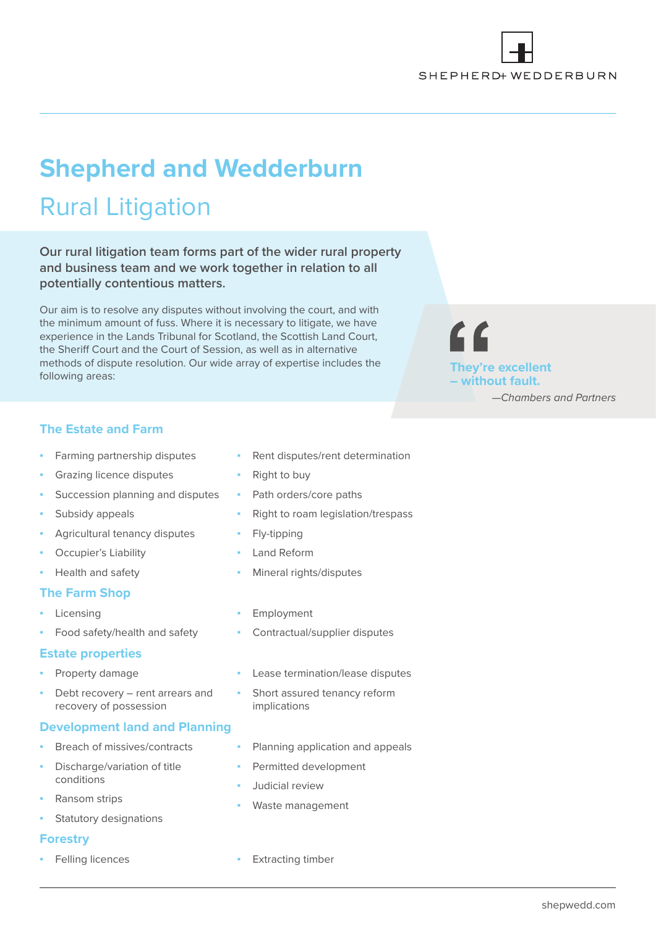

# **Shepherd and Wedderburn** Rural Litigation

**Our rural litigation team forms part of the wider rural property and business team and we work together in relation to all potentially contentious matters.** 

Our aim is to resolve any disputes without involving the court, and with the minimum amount of fuss. Where it is necessary to litigate, we have experience in the Lands Tribunal for Scotland, the Scottish Land Court, the Sheriff Court and the Court of Session, as well as in alternative methods of dispute resolution. Our wide array of expertise includes the following areas:



# **The Estate and Farm**

- **▪** Farming partnership disputes
- **Grazing licence disputes**
- **Succession planning and disputes**
- **Subsidy appeals**
- **Agricultural tenancy disputes**
- **Occupier's Liability**
- **▪** Health and safety

# **The Farm Shop**

- **▪** Licensing
- **▪** Food safety/health and safety

## **Estate properties**

- **▪** Property damage
- Debt recovery rent arrears and recovery of possession

## **Development land and Planning**

- **Breach of missives/contracts**
- **Discharge/variation of title** conditions
- **▪** Ransom strips
- **Statutory designations**

## **Forestry**

- Rent disputes/rent determination
- **Right to buy**
- Path orders/core paths
- **▪** Right to roam legislation/trespass
- **▪** Fly-tipping
- **▪** Land Reform
- **▪** Mineral rights/disputes
- **▪** Employment
- **▪** Contractual/supplier disputes
- Lease termination/lease disputes
- **Short assured tenancy reform** implications
- **Planning application and appeals**
- **▪** Permitted development
- **▪** Judicial review
- **▪** Waste management
- **▪** Felling licences **▪** Extracting timber